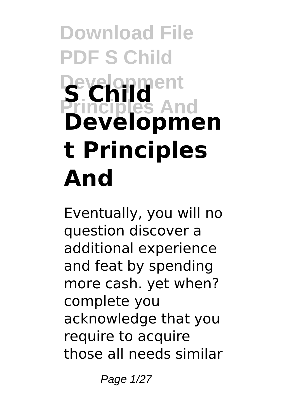# **Download File PDF S Child Development<br>Principles And Developmen t Principles And**

Eventually, you will no question discover a additional experience and feat by spending more cash. yet when? complete you acknowledge that you require to acquire those all needs similar

Page 1/27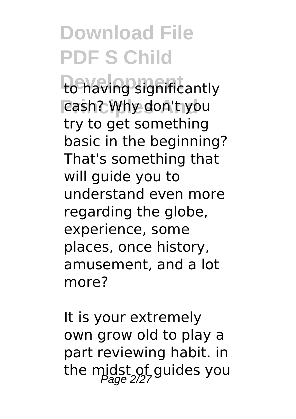to having significantly **Principles And** cash? Why don't you try to get something basic in the beginning? That's something that will guide you to understand even more regarding the globe, experience, some places, once history, amusement, and a lot more?

It is your extremely own grow old to play a part reviewing habit. in the midst of guides you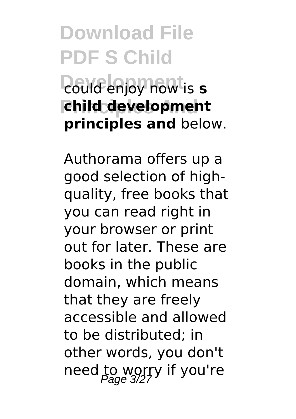# **Download File PDF S Child Development** could enjoy now is **s**

**Principles And child development principles and** below.

Authorama offers up a good selection of highquality, free books that you can read right in your browser or print out for later. These are books in the public domain, which means that they are freely accessible and allowed to be distributed; in other words, you don't need to worry if you're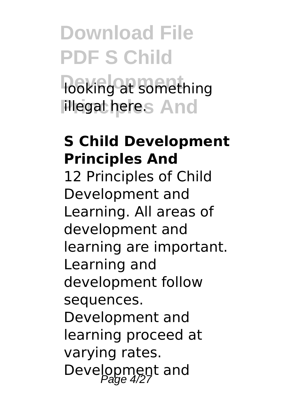# **Download File PDF S Child looking at something**

**Filegal heres And** 

#### **S Child Development Principles And**

12 Principles of Child Development and Learning. All areas of development and learning are important. Learning and development follow sequences. Development and learning proceed at varying rates. Development and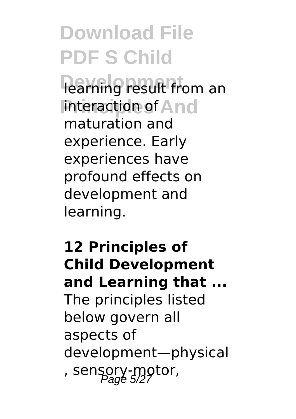**Learning result from an interaction of And** maturation and experience. Early experiences have profound effects on development and learning.

#### **12 Principles of Child Development and Learning that ...** The principles listed below govern all aspects of development—physical , sensory-motor,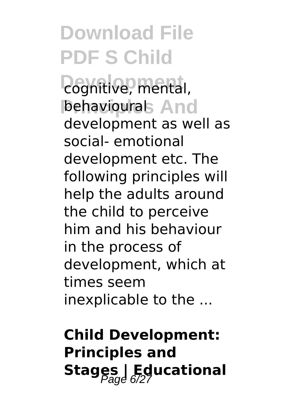*<u>Degnitive</u>*, mental, **behaviourals And** development as well as social- emotional development etc. The following principles will help the adults around the child to perceive him and his behaviour in the process of development, which at times seem inexplicable to the ...

### **Child Development: Principles and Stages | Educational**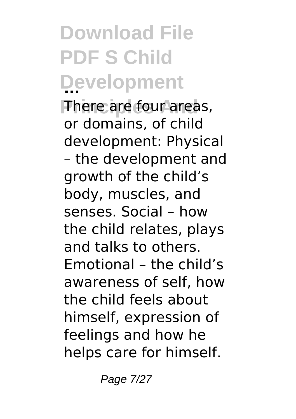**Download File PDF S Child Development ... There are four areas,** or domains, of child development: Physical – the development and growth of the child's body, muscles, and senses. Social – how the child relates, plays and talks to others. Emotional – the child's awareness of self, how the child feels about himself, expression of feelings and how he helps care for himself.

Page 7/27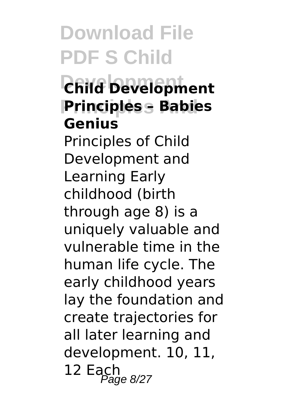### **Development Child Development Principles + Babies Genius**

Principles of Child Development and Learning Early childhood (birth through age 8) is a uniquely valuable and vulnerable time in the human life cycle. The early childhood years lay the foundation and create trajectories for all later learning and development. 10, 11, 12 Each  $P_{\text{Page 8/27}}$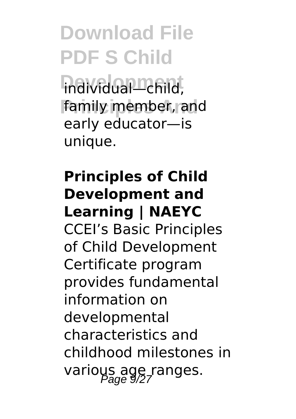**Individual**—child, family member, and early educator—is unique.

#### **Principles of Child Development and Learning | NAEYC**

CCEI's Basic Principles of Child Development Certificate program provides fundamental information on developmental characteristics and childhood milestones in various age ranges.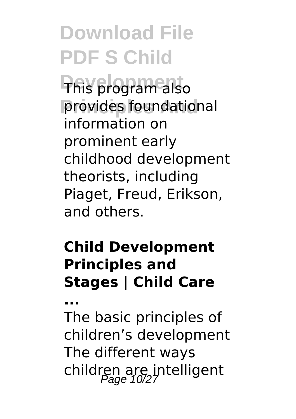**Development** This program also provides foundational information on prominent early childhood development theorists, including Piaget, Freud, Erikson, and others.

#### **Child Development Principles and Stages | Child Care**

**...**

The basic principles of children's development The different ways children are intelligent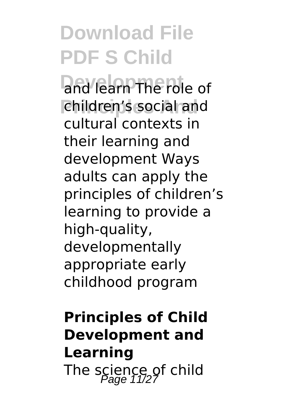and learn The role of **Principles And** children's social and cultural contexts in their learning and development Ways adults can apply the principles of children's learning to provide a high-quality, developmentally appropriate early childhood program

**Principles of Child Development and Learning** The science of child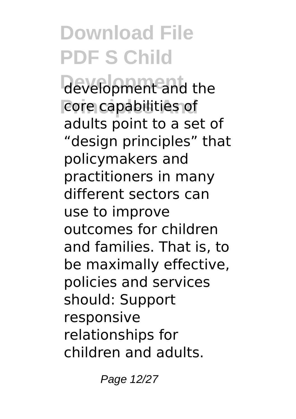**Development** development and the core capabilities of adults point to a set of "design principles" that policymakers and practitioners in many different sectors can use to improve outcomes for children and families. That is, to be maximally effective, policies and services should: Support responsive relationships for children and adults.

Page 12/27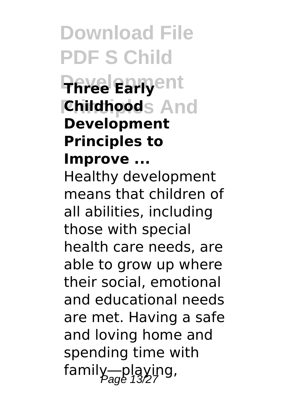**Download File PDF S Child Pfiree Early**ent **Principles And Childhood Development Principles to Improve ...** Healthy development means that children of all abilities, including those with special health care needs, are able to grow up where their social, emotional and educational needs are met. Having a safe and loving home and spending time with family-playing,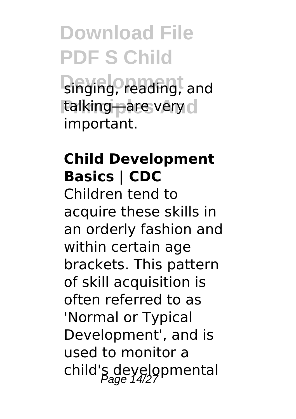singing, reading, and talking<sub></sub>―are very important.

#### **Child Development Basics | CDC**

Children tend to acquire these skills in an orderly fashion and within certain age brackets. This pattern of skill acquisition is often referred to as 'Normal or Typical Development', and is used to monitor a child's deyelopmental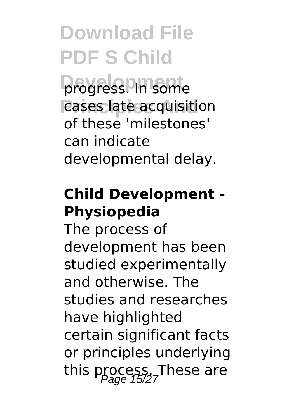**Development** progress. In some cases late acquisition of these 'milestones' can indicate developmental delay.

#### **Child Development - Physiopedia**

The process of development has been studied experimentally and otherwise. The studies and researches have highlighted certain significant facts or principles underlying this process. These are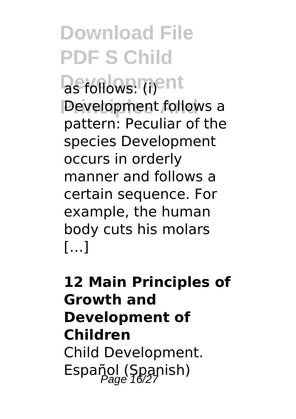as follows: (i)<sup>ent</sup> **Pevelopment follows a** pattern: Peculiar of the species Development occurs in orderly manner and follows a certain sequence. For example, the human body cuts his molars […]

#### **12 Main Principles of Growth and Development of Children** Child Development. Español (Spanish)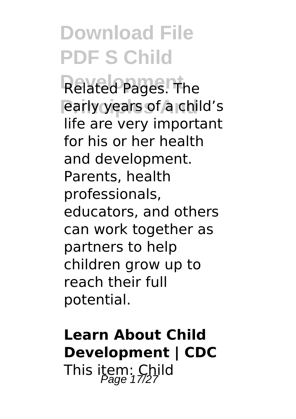Related Pages. The **Parly years of a child's** life are very important for his or her health and development. Parents, health professionals, educators, and others can work together as partners to help children grow up to reach their full potential.

### **Learn About Child Development | CDC** This item: Child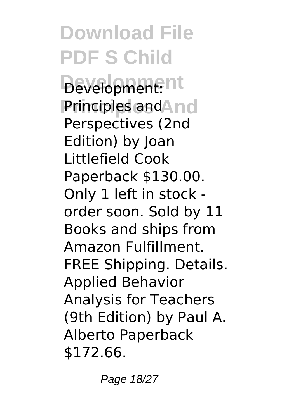**Download File PDF S Child Development** Development: **Principles and And** Perspectives (2nd Edition) by Joan Littlefield Cook Paperback \$130.00. Only 1 left in stock order soon. Sold by 11 Books and ships from Amazon Fulfillment. FREE Shipping. Details. Applied Behavior Analysis for Teachers (9th Edition) by Paul A. Alberto Paperback \$172.66.

Page 18/27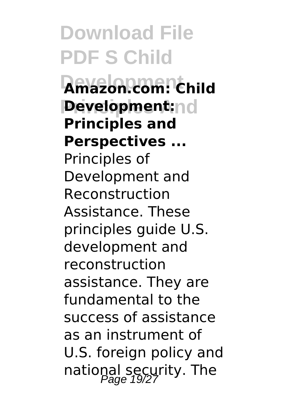**Download File PDF S Child Development Amazon.com: Child Pevelopment: Principles and Perspectives ...** Principles of Development and Reconstruction Assistance. These principles guide U.S. development and reconstruction assistance. They are fundamental to the success of assistance as an instrument of U.S. foreign policy and national security. The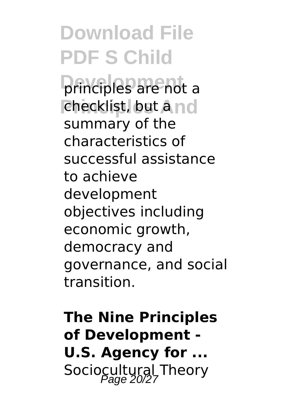**principles are not a Principles And** checklist, but a summary of the characteristics of successful assistance to achieve development objectives including economic growth, democracy and governance, and social transition.

**The Nine Principles of Development - U.S. Agency for ...** Sociocultural Theory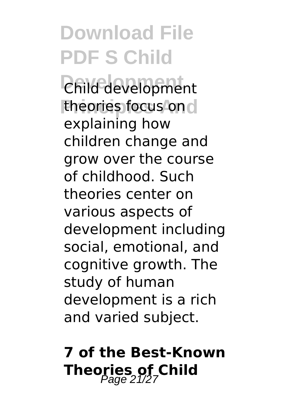**Development** Child development theories focus on explaining how children change and grow over the course of childhood. Such theories center on various aspects of development including social, emotional, and cognitive growth. The study of human development is a rich and varied subject.

### **7 of the Best-Known Theories of Child**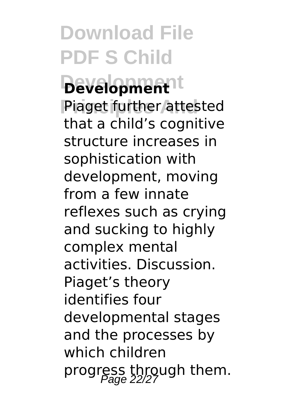**Development Development** Piaget further attested that a child's cognitive structure increases in sophistication with development, moving from a few innate reflexes such as crying and sucking to highly complex mental activities. Discussion. Piaget's theory identifies four developmental stages and the processes by which children progress through them.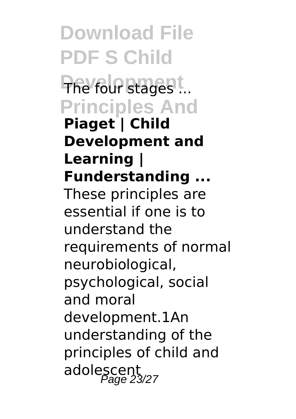**Download File PDF S Child The four stages !... Principles And Piaget | Child Development and Learning | Funderstanding ...** These principles are essential if one is to understand the requirements of normal neurobiological, psychological, social and moral development.1An understanding of the principles of child and adolescent<br>adolescent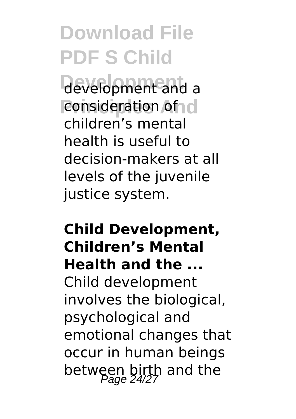**Development** development and a **Pronsideration of add** children's mental health is useful to decision-makers at all levels of the juvenile justice system.

#### **Child Development, Children's Mental Health and the ...** Child development involves the biological, psychological and emotional changes that occur in human beings between birth and the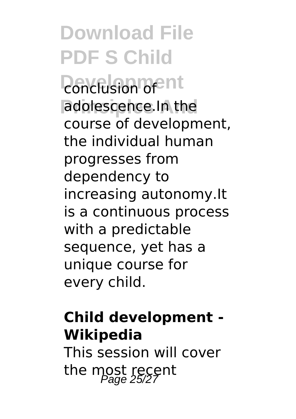*<u>Donclusion</u>* of nt adolescence.In the course of development, the individual human progresses from dependency to increasing autonomy.It is a continuous process with a predictable sequence, yet has a unique course for every child.

#### **Child development - Wikipedia**

This session will cover the most recent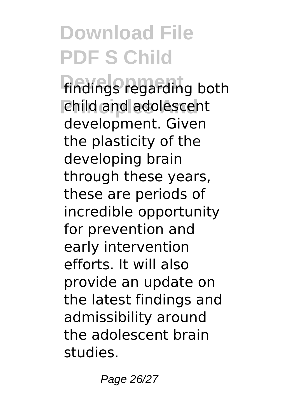findings regarding both *<u>Religional</u>* adolescent development. Given the plasticity of the developing brain through these years, these are periods of incredible opportunity for prevention and early intervention efforts. It will also provide an update on the latest findings and admissibility around the adolescent brain studies.

Page 26/27